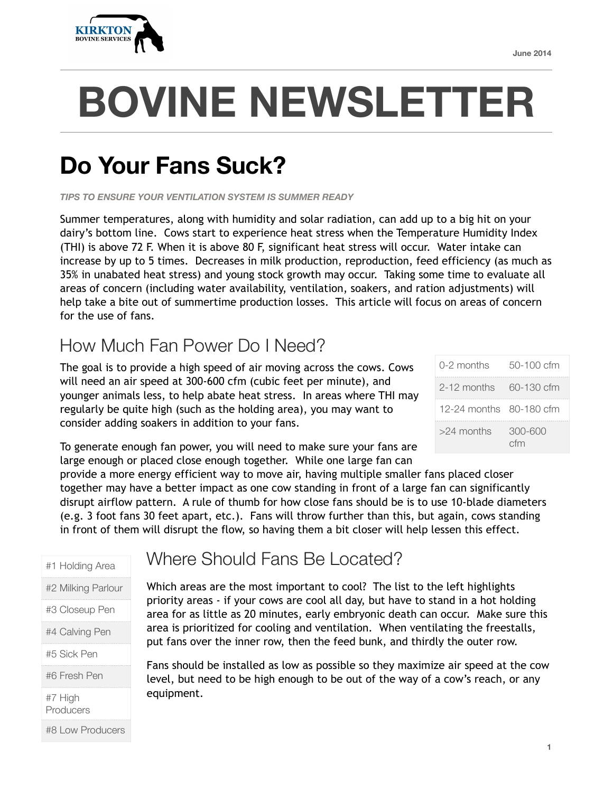

# **BOVINE NEWSLETTER**

# **Do Your Fans Suck?**

*TIPS TO ENSURE YOUR VENTILATION SYSTEM IS SUMMER READY* 

Summer temperatures, along with humidity and solar radiation, can add up to a big hit on your dairy's bottom line. Cows start to experience heat stress when the Temperature Humidity Index (THI) is above 72 F. When it is above 80 F, significant heat stress will occur. Water intake can increase by up to 5 times. Decreases in milk production, reproduction, feed efficiency (as much as 35% in unabated heat stress) and young stock growth may occur. Taking some time to evaluate all areas of concern (including water availability, ventilation, soakers, and ration adjustments) will help take a bite out of summertime production losses. This article will focus on areas of concern for the use of fans.

## How Much Fan Power Do I Need?

The goal is to provide a high speed of air moving across the cows. Cows will need an air speed at 300-600 cfm (cubic feet per minute), and younger animals less, to help abate heat stress. In areas where THI may regularly be quite high (such as the holding area), you may want to consider adding soakers in addition to your fans.

| $0-2$ months            | 50-100 cfm     |
|-------------------------|----------------|
| 2-12 months 60-130 cfm  |                |
| 12-24 months 80-180 cfm |                |
| $>24$ months            | 300-600<br>cfm |

To generate enough fan power, you will need to make sure your fans are large enough or placed close enough together. While one large fan can

provide a more energy efficient way to move air, having multiple smaller fans placed closer together may have a better impact as one cow standing in front of a large fan can significantly disrupt airflow pattern. A rule of thumb for how close fans should be is to use 10-blade diameters (e.g. 3 foot fans 30 feet apart, etc.). Fans will throw further than this, but again, cows standing in front of them will disrupt the flow, so having them a bit closer will help lessen this effect.

#1 Holding Area

- #2 Milking Parlour
- #3 Closeup Pen

#4 Calving Pen

#5 Sick Pen

#6 Fresh Pen

#7 High **Producers** 

#8 Low Producers

#### Where Should Fans Be Located?

Which areas are the most important to cool? The list to the left highlights priority areas - if your cows are cool all day, but have to stand in a hot holding area for as little as 20 minutes, early embryonic death can occur. Make sure this area is prioritized for cooling and ventilation. When ventilating the freestalls, put fans over the inner row, then the feed bunk, and thirdly the outer row.

Fans should be installed as low as possible so they maximize air speed at the cow level, but need to be high enough to be out of the way of a cow's reach, or any equipment.